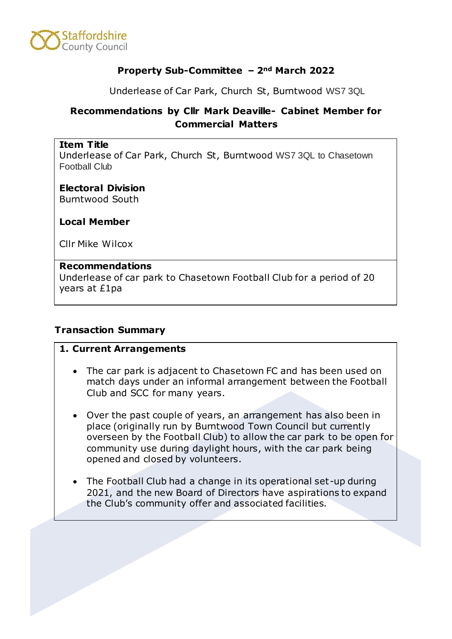

#### **Property Sub-Committee – 2nd March 2022**

Underlease of Car Park, Church St, Burntwood WS7 3QL

# **Recommendations by Cllr Mark Deaville- Cabinet Member for Commercial Matters**

#### **Item Title**

Underlease of Car Park, Church St, Burntwood WS7 3QL to Chasetown Football Club

# **Electoral Division**

Burntwood South

**Local Member**

Cllr Mike Wilcox

#### **Recommendations**

Underlease of car park to Chasetown Football Club for a period of 20 years at £1pa

#### **Transaction Summary**

#### **1. Current Arrangements**

- The car park is adjacent to Chasetown FC and has been used on match days under an informal arrangement between the Football Club and SCC for many years.
- Over the past couple of years, an arrangement has also been in place (originally run by Burntwood Town Council but currently overseen by the Football Club) to allow the car park to be open for community use during daylight hours, with the car park being opened and closed by volunteers.
- The Football Club had a change in its operational set-up during 2021, and the new Board of Directors have aspirations to expand the Club's community offer and associated facilities.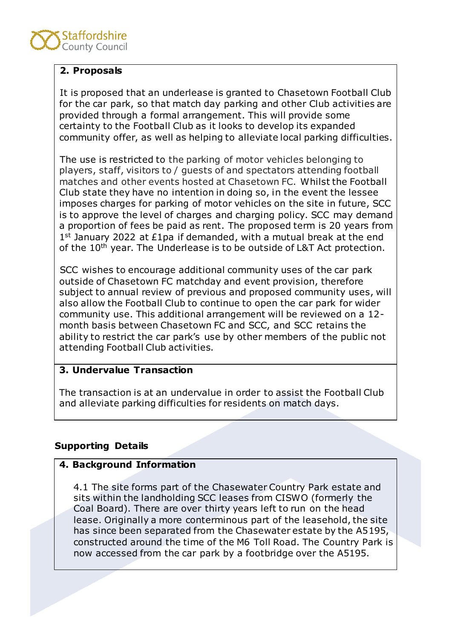# **2. Proposals**

It is proposed that an underlease is granted to Chasetown Football Club for the car park, so that match day parking and other Club activities are provided through a formal arrangement. This will provide some certainty to the Football Club as it looks to develop its expanded community offer, as well as helping to alleviate local parking difficulties.

The use is restricted to the parking of motor vehicles belonging to players, staff, visitors to / guests of and spectators attending football matches and other events hosted at Chasetown FC. Whilst the Football Club state they have no intention in doing so, in the event the lessee imposes charges for parking of motor vehicles on the site in future, SCC is to approve the level of charges and charging policy. SCC may demand a proportion of fees be paid as rent. The proposed term is 20 years from 1st January 2022 at £1pa if demanded, with a mutual break at the end of the 10<sup>th</sup> year. The Underlease is to be outside of L&T Act protection.

SCC wishes to encourage additional community uses of the car park outside of Chasetown FC matchday and event provision, therefore subject to annual review of previous and proposed community uses, will also allow the Football Club to continue to open the car park for wider community use. This additional arrangement will be reviewed on a 12 month basis between Chasetown FC and SCC, and SCC retains the ability to restrict the car park's use by other members of the public not attending Football Club activities.

# **3. Undervalue Transaction**

The transaction is at an undervalue in order to assist the Football Club and alleviate parking difficulties for residents on match days.

# **Supporting Details**

# **4. Background Information**

4.1 The site forms part of the Chasewater Country Park estate and sits within the landholding SCC leases from CISWO (formerly the Coal Board). There are over thirty years left to run on the head lease. Originally a more conterminous part of the leasehold, the site has since been separated from the Chasewater estate by the A5195, constructed around the time of the M6 Toll Road. The Country Park is now accessed from the car park by a footbridge over the A5195.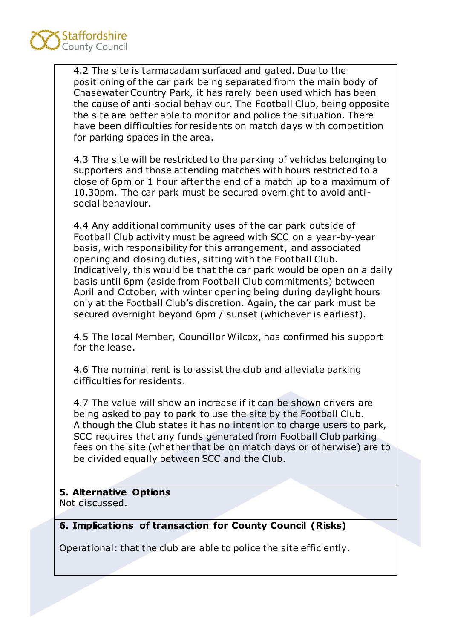

4.2 The site is tarmacadam surfaced and gated. Due to the positioning of the car park being separated from the main body of Chasewater Country Park, it has rarely been used which has been the cause of anti-social behaviour. The Football Club, being opposite the site are better able to monitor and police the situation. There have been difficulties for residents on match days with competition for parking spaces in the area.

4.3 The site will be restricted to the parking of vehicles belonging to supporters and those attending matches with hours restricted to a close of 6pm or 1 hour after the end of a match up to a maximum of 10.30pm. The car park must be secured overnight to avoid antisocial behaviour.

4.4 Any additional community uses of the car park outside of Football Club activity must be agreed with SCC on a year-by-year basis, with responsibility for this arrangement, and associated opening and closing duties, sitting with the Football Club. Indicatively, this would be that the car park would be open on a daily basis until 6pm (aside from Football Club commitments) between April and October, with winter opening being during daylight hours only at the Football Club's discretion. Again, the car park must be secured overnight beyond 6pm / sunset (whichever is earliest).

4.5 The local Member, Councillor Wilcox, has confirmed his support for the lease.

4.6 The nominal rent is to assist the club and alleviate parking difficulties for residents.

4.7 The value will show an increase if it can be shown drivers are being asked to pay to park to use the site by the Football Club. Although the Club states it has no intention to charge users to park, SCC requires that any funds generated from Football Club parking fees on the site (whether that be on match days or otherwise) are to be divided equally between SCC and the Club.

# **5. Alternative Options**

Not discussed.

# **6. Implications of transaction for County Council (Risks)**

Operational: that the club are able to police the site efficiently.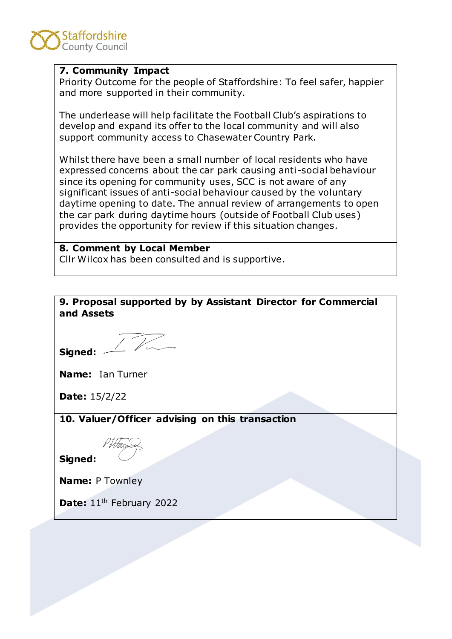

#### **7. Community Impact**

Priority Outcome for the people of Staffordshire: To feel safer, happier and more supported in their community.

The underlease will help facilitate the Football Club's aspirations to develop and expand its offer to the local community and will also support community access to Chasewater Country Park.

Whilst there have been a small number of local residents who have expressed concerns about the car park causing anti-social behaviour since its opening for community uses, SCC is not aware of any significant issues of anti-social behaviour caused by the voluntary daytime opening to date. The annual review of arrangements to open the car park during daytime hours (outside of Football Club uses) provides the opportunity for review if this situation changes.

#### **8. Comment by Local Member**

Cllr Wilcox has been consulted and is supportive.

**9. Proposal supported by by Assistant Director for Commercial and Assets Signed: Name:** Ian Turner **Date:** 15/2/22 **10. Valuer/Officer advising on this transaction** P H<del>pt</del>a **Signed: Name:** P Townley Date: 11<sup>th</sup> February 2022